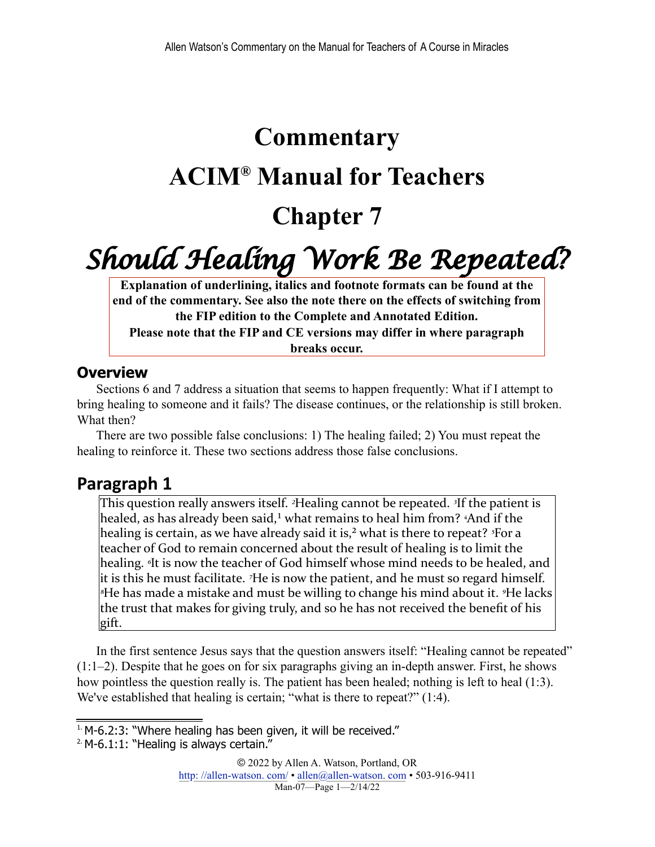# **Commentary ACIM® Manual for Teachers Chapter 7**

# *Should Healing Work Be Repeated?*

**Explanation of underlining, italics and footnote formats can be found at the end of the commentary. See also the note there on the effects of switching from the FIP edition to the Complete and Annotated Edition.**

**Please note that the FIP and CE versions may differ in where paragraph breaks occur.**

#### **Overview**

Sections 6 and 7 address a situation that seems to happen frequently: What if I attempt to bring healing to someone and it fails? The disease continues, or the relationship is still broken. What then?

There are two possible false conclusions: 1) The healing failed; 2) You must repeat the healing to reinforce it. These two sections address those false conclusions.

#### **Paragraph 1**

<span id="page-0-3"></span><span id="page-0-2"></span>This question really answers itself. <sup>2</sup>Healing cannot be repeated. <sup>3</sup>If the patient is healed, as has already been said,<sup>1</sup> what remains to heal him from? <sup>4</sup>And if the healing is certain, as we have already said it is,<sup>2</sup> what is there to repeat? <sup>5</sup>For a teacher of God to remain concerned about the result of healing is to limit the healing. *I*t is now the teacher of God himself whose mind needs to be healed, and it is this he must facilitate. <sup>7</sup>He is now the patient, and he must so regard himself. <sup>*∗*He has made a mistake and must be willing to change his mind about it. <sup>*∗*He lacks</sup></sup> the trust that makes for giving truly, and so he has not received the benefit of his gift.

In the first sentence Jesus says that the question answers itself: "Healing cannot be repeated" (1:1–2). Despite that he goes on for six paragraphs giving an in-depth answer. First, he shows how pointless the question really is. The patient has been healed; nothing is left to heal (1:3). We've established that healing is certain; "what is there to repeat?" (1:4).

<span id="page-0-0"></span> $1.$  M-6.2:3: "Where healing has been given, it will be received."

<span id="page-0-1"></span> $2$ . M-6.1:1: "Healing is always certain."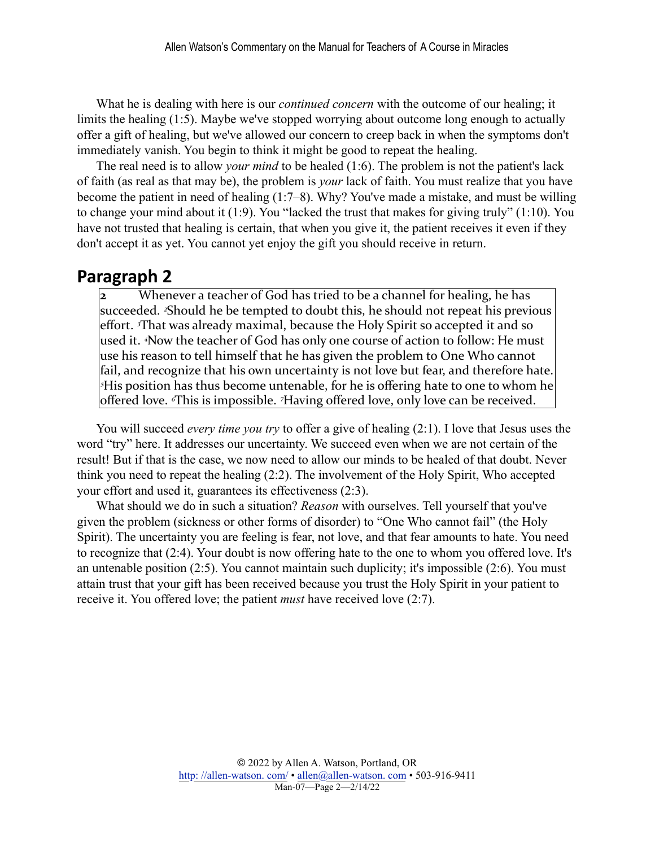What he is dealing with here is our *continued concern* with the outcome of our healing; it limits the healing (1:5). Maybe we've stopped worrying about outcome long enough to actually offer a gift of healing, but we've allowed our concern to creep back in when the symptoms don't immediately vanish. You begin to think it might be good to repeat the healing.

The real need is to allow *your mind* to be healed (1:6). The problem is not the patient's lack of faith (as real as that may be), the problem is *your* lack of faith. You must realize that you have become the patient in need of healing (1:7–8). Why? You've made a mistake, and must be willing to change your mind about it (1:9). You "lacked the trust that makes for giving truly" (1:10). You have not trusted that healing is certain, that when you give it, the patient receives it even if they don't accept it as yet. You cannot yet enjoy the gift you should receive in return.

#### **Paragraph 2**

**2** Whenever a teacher of God has tried to be a channel for healing, he has succeeded. <sup>2</sup>Should he be tempted to doubt this, he should not repeat his previous effort. <sup>*I*That was already maximal, because the Holy Spirit so accepted it and so</sup> used it. <sup>4</sup>Now the teacher of God has only one course of action to follow: He must use his reason to tell himself that he has given the problem to One Who cannot fail, and recognize that his own uncertainty is not love but fear, and therefore hate. *<sup>5</sup>His* position has thus become untenable, for he is offering hate to one to whom he offered love. *<sup><i>s*This is impossible.</sup> <sup>7</sup>Having offered love, only love can be received.

You will succeed *every time you try* to offer a give of healing (2:1). I love that Jesus uses the word "try" here. It addresses our uncertainty. We succeed even when we are not certain of the result! But if that is the case, we now need to allow our minds to be healed of that doubt. Never think you need to repeat the healing (2:2). The involvement of the Holy Spirit, Who accepted your effort and used it, guarantees its effectiveness (2:3).

What should we do in such a situation? *Reason* with ourselves. Tell yourself that you've given the problem (sickness or other forms of disorder) to "One Who cannot fail" (the Holy Spirit). The uncertainty you are feeling is fear, not love, and that fear amounts to hate. You need to recognize that (2:4). Your doubt is now offering hate to the one to whom you offered love. It's an untenable position (2:5). You cannot maintain such duplicity; it's impossible (2:6). You must attain trust that your gift has been received because you trust the Holy Spirit in your patient to receive it. You offered love; the patient *must* have received love (2:7).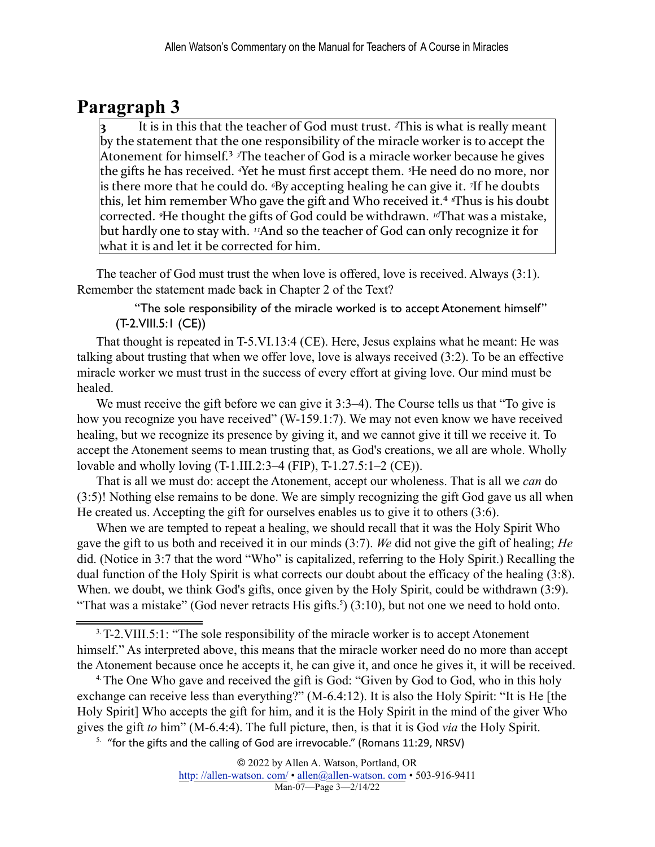### **Paragraph 3**

<span id="page-2-3"></span>It is in this that the teacher of God must trust. <sup>2</sup>This is what is really meant by the statement that the one responsibility of the miracle worker is to accept the Atonement for himself.<sup>3</sup> <sup>*s*The teacher of God is a miracle worker because he gives</sup> the gifts he has received. <sup>*A*</sup>et he must first accept them. <sup>5</sup>He need do no more, nor is there more that he could do. <sup>*«*By accepting healing he can give it. *<sup>7</sup>If* he doubts</sup> this, let him remember Who gave the gift and Who received it.<sup>4</sup> <sup>*s*Thus is his doubt</sup> corrected. <sup>9</sup>He thought the gifts of God could be withdrawn. <sup>10</sup>That was a mistake, but hardly one to stay with. <sup>11</sup>And so the teacher of God can only recognize it for what it is and let it be corrected for him.

<span id="page-2-4"></span>The teacher of God must trust the when love is offered, love is received. Always (3:1). Remember the statement made back in Chapter 2 of the Text?

"The sole responsibility of the miracle worked is to accept Atonement himself" (T-2.VIII.5:1 (CE))

That thought is repeated in T-5.VI.13:4 (CE). Here, Jesus explains what he meant: He was talking about trusting that when we offer love, love is always received (3:2). To be an effective miracle worker we must trust in the success of every effort at giving love. Our mind must be healed.

We must receive the gift before we can give it 3:3–4). The Course tells us that "To give is how you recognize you have received" (W-159.1:7). We may not even know we have received healing, but we recognize its presence by giving it, and we cannot give it till we receive it. To accept the Atonement seems to mean trusting that, as God's creations, we all are whole. Wholly lovable and wholly loving (T-1.III.2:3–4 (FIP), T-1.27.5:1–2 (CE)).

That is all we must do: accept the Atonement, accept our wholeness. That is all we *can* do (3:5)! Nothing else remains to be done. We are simply recognizing the gift God gave us all when He created us. Accepting the gift for ourselves enables us to give it to others (3:6).

When we are tempted to repeat a healing, we should recall that it was the Holy Spirit Who gave the gift to us both and received it in our minds (3:7). *We* did not give the gift of healing; *He* did. (Notice in 3:7 that the word "Who" is capitalized, referring to the Holy Spirit.) Recalling the dual function of the Holy Spirit is what corrects our doubt about the efficacy of the healing (3:8). When. we doubt, we think God's gifts, once given by the Holy Spirit, could be withdrawn (3:9). "That was a mistake" (God never retracts His gifts.<sup>[5](#page-2-2)</sup>) (3:10), but not one we need to hold onto.

<span id="page-2-1"></span><sup>[4.](#page-2-4)</sup> The One Who gave and received the gift is God: "Given by God to God, who in this holy exchange can receive less than everything?" (M-6.4:12). It is also the Holy Spirit: "It is He [the Holy Spirit] Who accepts the gift for him, and it is the Holy Spirit in the mind of the giver Who gives the gift *to* him" (M-6.4:4). The full picture, then, is that it is God *via* the Holy Spirit.

<span id="page-2-2"></span> $5.$  "for the gifts and the calling of God are irrevocable." (Romans 11:29, NRSV)

<span id="page-2-5"></span><span id="page-2-0"></span>[<sup>3.</sup>](#page-2-3)T-2.VIII.5:1: "The sole responsibility of the miracle worker is to accept Atonement himself." As interpreted above, this means that the miracle worker need do no more than accept the Atonement because once he accepts it, he can give it, and once he gives it, it will be received.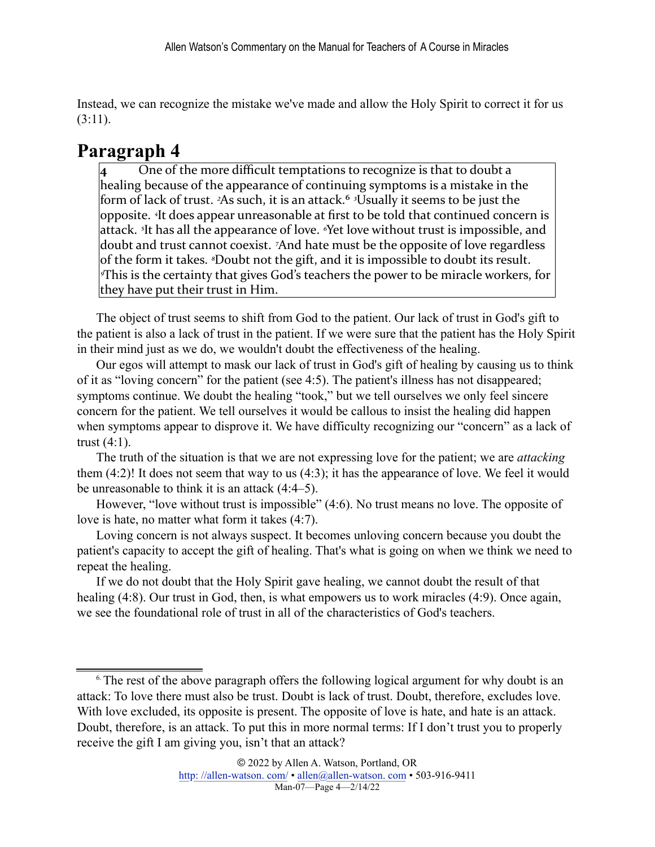Instead, we can recognize the mistake we've made and allow the Holy Spirit to correct it for us (3:11).

## **Paragraph 4**

<span id="page-3-1"></span>One of the more difficult temptations to recognize is that to doubt a healing because of the appearance of continuing symptoms is a mistake in the form of lack of trust. <sup>2</sup>As such, it is an attack.<sup>6</sup> <sup>3</sup>Usually it seems to be just the opposite. <sup>4</sup>It does appear unreasonable at first to be told that continued concern is attack. <sup>*s*</sup>It has all the appearance of love. <sup>*«*Yet love without trust is impossible, and</sup> doubt and trust cannot coexist. <sup>7</sup>And hate must be the opposite of love regardless of the form it takes. <sup>*§*Doubt not the gift, and it is impossible to doubt its result.</sup> *I* This is the certainty that gives God's teachers the power to be miracle workers, for they have put their trust in Him.

The object of trust seems to shift from God to the patient. Our lack of trust in God's gift to the patient is also a lack of trust in the patient. If we were sure that the patient has the Holy Spirit in their mind just as we do, we wouldn't doubt the effectiveness of the healing.

Our egos will attempt to mask our lack of trust in God's gift of healing by causing us to think of it as "loving concern" for the patient (see 4:5). The patient's illness has not disappeared; symptoms continue. We doubt the healing "took," but we tell ourselves we only feel sincere concern for the patient. We tell ourselves it would be callous to insist the healing did happen when symptoms appear to disprove it. We have difficulty recognizing our "concern" as a lack of trust (4:1).

The truth of the situation is that we are not expressing love for the patient; we are *attacking* them (4:2)! It does not seem that way to us (4:3); it has the appearance of love. We feel it would be unreasonable to think it is an attack (4:4–5).

However, "love without trust is impossible" (4:6). No trust means no love. The opposite of love is hate, no matter what form it takes (4:7).

Loving concern is not always suspect. It becomes unloving concern because you doubt the patient's capacity to accept the gift of healing. That's what is going on when we think we need to repeat the healing.

If we do not doubt that the Holy Spirit gave healing, we cannot doubt the result of that healing (4:8). Our trust in God, then, is what empowers us to work miracles (4:9). Once again, we see the foundational role of trust in all of the characteristics of God's teachers.

<span id="page-3-0"></span><sup>&</sup>lt;sup>[6.](#page-3-1)</sup> The rest of the above paragraph offers the following logical argument for why doubt is an attack: To love there must also be trust. Doubt is lack of trust. Doubt, therefore, excludes love. With love excluded, its opposite is present. The opposite of love is hate, and hate is an attack. Doubt, therefore, is an attack. To put this in more normal terms: If I don't trust you to properly receive the gift I am giving you, isn't that an attack?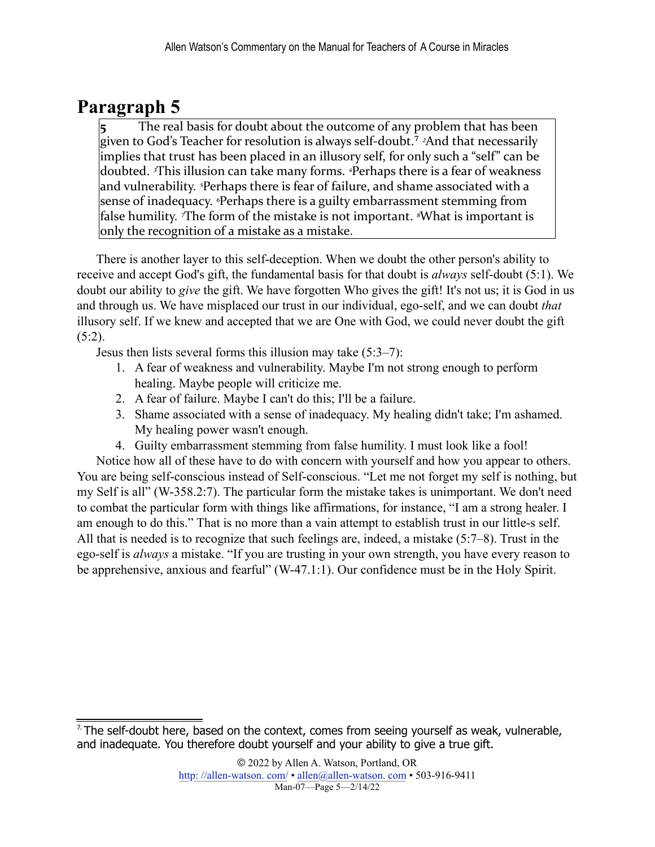### **Paragraph 5**

<span id="page-4-1"></span>The real basis for doubt about the outcome of any problem that has been given to God's Teacher for resolution is always self-doubt.<sup>7</sup> <sup>2</sup>And that necessarily implies that trust has been placed in an illusory self, for only such a "self" can be doubted. <sup>*3*This illusion can take many forms. *<sup>4</sup>Perhaps* there is a fear of weakness</sup> and vulnerability. <sup>*s*</sup>Perhaps there is fear of failure, and shame associated with a sense of inadequacy. <sup>*«*Perhaps there is a guilty embarrassment stemming from</sup> false humility. *The form of the mistake is not important. <sup><i>s*</sup>What is important is only the recognition of a mistake as a mistake.

There is another layer to this self-deception. When we doubt the other person's ability to receive and accept God's gift, the fundamental basis for that doubt is *always* self-doubt (5:1). We doubt our ability to *give* the gift. We have forgotten Who gives the gift! It's not us; it is God in us and through us. We have misplaced our trust in our individual, ego-self, and we can doubt *that* illusory self. If we knew and accepted that we are One with God, we could never doubt the gift (5:2).

Jesus then lists several forms this illusion may take (5:3–7):

- 1. A fear of weakness and vulnerability. Maybe I'm not strong enough to perform healing. Maybe people will criticize me.
- 2. A fear of failure. Maybe I can't do this; I'll be a failure.
- 3. Shame associated with a sense of inadequacy. My healing didn't take; I'm ashamed. My healing power wasn't enough.
- 4. Guilty embarrassment stemming from false humility. I must look like a fool!

Notice how all of these have to do with concern with yourself and how you appear to others. You are being self-conscious instead of Self-conscious. "Let me not forget my self is nothing, but my Self is all" (W-358.2:7). The particular form the mistake takes is unimportant. We don't need to combat the particular form with things like affirmations, for instance, "I am a strong healer. I am enough to do this." That is no more than a vain attempt to establish trust in our little-s self. All that is needed is to recognize that such feelings are, indeed, a mistake (5:7–8). Trust in the ego-self is *always* a mistake. "If you are trusting in your own strength, you have every reason to be apprehensive, anxious and fearful" (W-47.1:1). Our confidence must be in the Holy Spirit.

<span id="page-4-0"></span> $7$ . The self-doubt here, based on the context, comes from seeing yourself as weak, vulnerable, and inadequate. You therefore doubt yourself and your ability to give a true gift.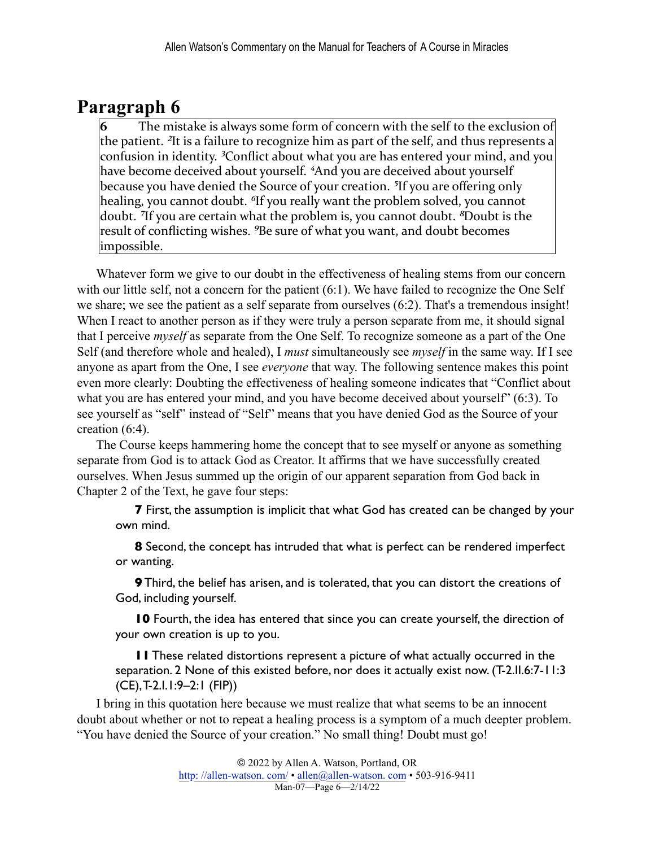## **Paragraph 6**

The mistake is always some form of concern with the self to the exclusion of the patient. <sup>2</sup>It is a failure to recognize him as part of the self, and thus represents a confusion in identity. <sup>3</sup>Conflict about what you are has entered your mind, and you have become deceived about yourself. <sup>4</sup>And you are deceived about yourself because you have denied the Source of your creation. <sup>5</sup>If you are offering only healing, you cannot doubt. <sup>6</sup>If you really want the problem solved, you cannot doubt. <sup>7</sup>If you are certain what the problem is, you cannot doubt. <sup>8</sup>Doubt is the result of conflicting wishes. <sup>9</sup>Be sure of what you want, and doubt becomes impossible. 

Whatever form we give to our doubt in the effectiveness of healing stems from our concern with our little self, not a concern for the patient (6:1). We have failed to recognize the One Self we share; we see the patient as a self separate from ourselves (6:2). That's a tremendous insight! When I react to another person as if they were truly a person separate from me, it should signal that I perceive *myself* as separate from the One Self. To recognize someone as a part of the One Self (and therefore whole and healed), I *must* simultaneously see *myself* in the same way. If I see anyone as apart from the One, I see *everyone* that way. The following sentence makes this point even more clearly: Doubting the effectiveness of healing someone indicates that "Conflict about what you are has entered your mind, and you have become deceived about yourself" (6:3). To see yourself as "self" instead of "Self" means that you have denied God as the Source of your creation (6:4).

The Course keeps hammering home the concept that to see myself or anyone as something separate from God is to attack God as Creator. It affirms that we have successfully created ourselves. When Jesus summed up the origin of our apparent separation from God back in Chapter 2 of the Text, he gave four steps:

**7** First, the assumption is implicit that what God has created can be changed by your own mind.

**8** Second, the concept has intruded that what is perfect can be rendered imperfect or wanting.

**9** Third, the belief has arisen, and is tolerated, that you can distort the creations of God, including yourself.

**10** Fourth, the idea has entered that since you can create yourself, the direction of your own creation is up to you.

**11** These related distortions represent a picture of what actually occurred in the separation. 2 None of this existed before, nor does it actually exist now. (T-2.II.6:7-11:3 (CE), T-2.I.1:9–2:1 (FIP))

I bring in this quotation here because we must realize that what seems to be an innocent doubt about whether or not to repeat a healing process is a symptom of a much deepter problem. "You have denied the Source of your creation." No small thing! Doubt must go!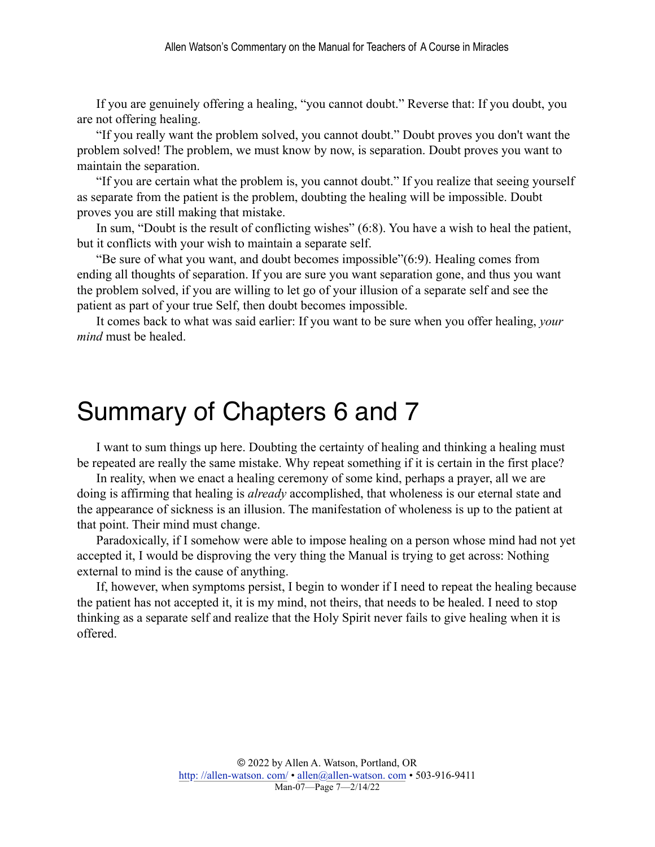If you are genuinely offering a healing, "you cannot doubt." Reverse that: If you doubt, you are not offering healing.

"If you really want the problem solved, you cannot doubt." Doubt proves you don't want the problem solved! The problem, we must know by now, is separation. Doubt proves you want to maintain the separation.

"If you are certain what the problem is, you cannot doubt." If you realize that seeing yourself as separate from the patient is the problem, doubting the healing will be impossible. Doubt proves you are still making that mistake.

In sum, "Doubt is the result of conflicting wishes" (6:8). You have a wish to heal the patient, but it conflicts with your wish to maintain a separate self.

"Be sure of what you want, and doubt becomes impossible"(6:9). Healing comes from ending all thoughts of separation. If you are sure you want separation gone, and thus you want the problem solved, if you are willing to let go of your illusion of a separate self and see the patient as part of your true Self, then doubt becomes impossible.

It comes back to what was said earlier: If you want to be sure when you offer healing, *your mind* must be healed.

# Summary of Chapters 6 and 7

I want to sum things up here. Doubting the certainty of healing and thinking a healing must be repeated are really the same mistake. Why repeat something if it is certain in the first place?

In reality, when we enact a healing ceremony of some kind, perhaps a prayer, all we are doing is affirming that healing is *already* accomplished, that wholeness is our eternal state and the appearance of sickness is an illusion. The manifestation of wholeness is up to the patient at that point. Their mind must change.

Paradoxically, if I somehow were able to impose healing on a person whose mind had not yet accepted it, I would be disproving the very thing the Manual is trying to get across: Nothing external to mind is the cause of anything.

If, however, when symptoms persist, I begin to wonder if I need to repeat the healing because the patient has not accepted it, it is my mind, not theirs, that needs to be healed. I need to stop thinking as a separate self and realize that the Holy Spirit never fails to give healing when it is offered.